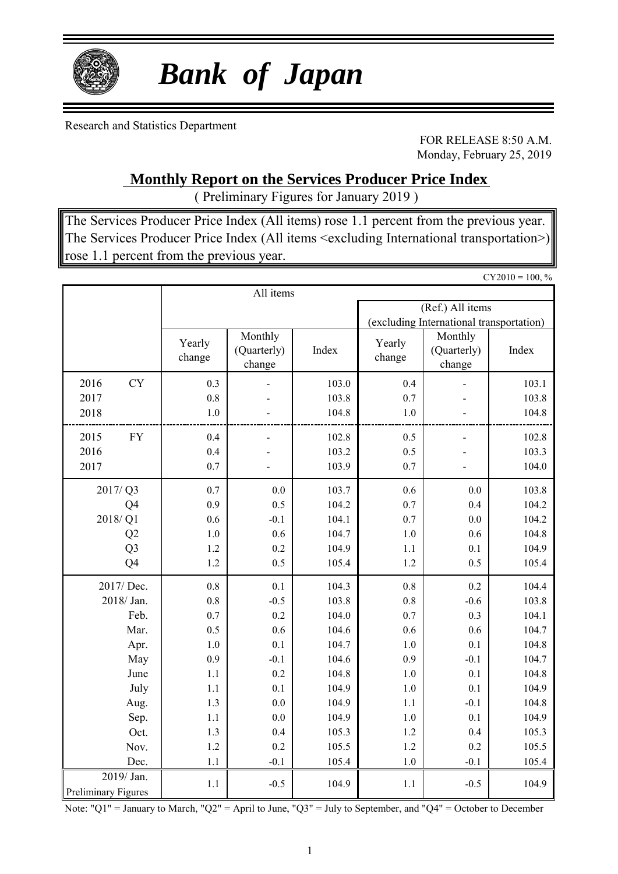

# *Bank of Japan*

Research and Statistics Department

FOR RELEASE 8:50 A.M. Monday, February 25, 2019

### **Monthly Report on the Services Producer Price Index**

( Preliminary Figures for January 2019 )

The Services Producer Price Index (All items) rose 1.1 percent from the previous year. The Services Producer Price Index (All items <excluding International transportation>) rose 1.1 percent from the previous year.

|                            |                  |                                  |       |                  |                                          | $CY2010 = 100, %$ |  |  |  |  |
|----------------------------|------------------|----------------------------------|-------|------------------|------------------------------------------|-------------------|--|--|--|--|
|                            |                  | All items                        |       |                  |                                          |                   |  |  |  |  |
|                            |                  |                                  |       | (Ref.) All items |                                          |                   |  |  |  |  |
|                            |                  |                                  |       |                  | (excluding International transportation) |                   |  |  |  |  |
|                            | Yearly<br>change | Monthly<br>(Quarterly)<br>change | Index | Yearly<br>change | Monthly<br>(Quarterly)<br>change         | Index             |  |  |  |  |
| 2016<br><b>CY</b>          | 0.3              |                                  | 103.0 | 0.4              |                                          | 103.1             |  |  |  |  |
| 2017                       | 0.8              |                                  | 103.8 | 0.7              |                                          | 103.8             |  |  |  |  |
| 2018                       | 1.0              |                                  | 104.8 | 1.0              |                                          | 104.8             |  |  |  |  |
| 2015<br>${\rm FY}$         | 0.4              |                                  | 102.8 | 0.5              |                                          | 102.8             |  |  |  |  |
| 2016                       | 0.4              |                                  | 103.2 | 0.5              |                                          | 103.3             |  |  |  |  |
| 2017                       | 0.7              |                                  | 103.9 | 0.7              |                                          | 104.0             |  |  |  |  |
| 2017/Q3                    | 0.7              | 0.0                              | 103.7 | 0.6              | 0.0                                      | 103.8             |  |  |  |  |
| Q4                         | 0.9              | 0.5                              | 104.2 | 0.7              | 0.4                                      | 104.2             |  |  |  |  |
| 2018/Q1                    | 0.6              | $-0.1$                           | 104.1 | 0.7              | 0.0                                      | 104.2             |  |  |  |  |
| Q2                         | $1.0\,$          | 0.6                              | 104.7 | $1.0\,$          | 0.6                                      | 104.8             |  |  |  |  |
| Q <sub>3</sub><br>1.2      |                  | 0.2                              | 104.9 | 1.1              | 0.1                                      | 104.9             |  |  |  |  |
| Q4                         | 1.2              | 0.5                              | 105.4 | 1.2              | 0.5                                      | 105.4             |  |  |  |  |
| 2017/ Dec.                 | $0.8\,$          | 0.1                              | 104.3 | 0.8              | 0.2                                      | 104.4             |  |  |  |  |
| 2018/ Jan.                 | 0.8              | $-0.5$                           | 103.8 | 0.8              | $-0.6$                                   | 103.8             |  |  |  |  |
| Feb.                       | 0.7              | 0.2                              | 104.0 | 0.7              | 0.3                                      | 104.1             |  |  |  |  |
| Mar.                       | 0.5              | 0.6                              | 104.6 | 0.6              | 0.6                                      | 104.7             |  |  |  |  |
| Apr.                       | $1.0\,$          | 0.1                              | 104.7 | 1.0              | 0.1                                      | 104.8             |  |  |  |  |
| May                        | 0.9              | $-0.1$                           | 104.6 | 0.9              | $-0.1$                                   | 104.7             |  |  |  |  |
| June                       | 1.1              | 0.2                              | 104.8 | $1.0\,$          | 0.1                                      | 104.8             |  |  |  |  |
| July                       | $1.1\,$          | 0.1                              | 104.9 | $1.0\,$          | 0.1                                      | 104.9             |  |  |  |  |
| Aug.                       | 1.3              | 0.0                              | 104.9 | 1.1              | $-0.1$                                   | 104.8             |  |  |  |  |
| Sep.                       | 1.1              | 0.0                              | 104.9 | 1.0              | 0.1                                      | 104.9             |  |  |  |  |
| Oct.                       | 1.3              | 0.4                              | 105.3 | 1.2              | 0.4                                      | 105.3             |  |  |  |  |
| Nov.                       | 1.2              | 0.2                              | 105.5 | 1.2              | 0.2                                      | 105.5             |  |  |  |  |
| Dec.                       | 1.1              | $-0.1$                           | 105.4 | 1.0              | $-0.1$                                   | 105.4             |  |  |  |  |
| 2019/ Jan.                 | 1.1              | $-0.5$                           | 104.9 | 1.1              | $-0.5$                                   | 104.9             |  |  |  |  |
| <b>Preliminary Figures</b> |                  |                                  |       |                  |                                          |                   |  |  |  |  |

Note: "Q1" = January to March, "Q2" = April to June, "Q3" = July to September, and "Q4" = October to December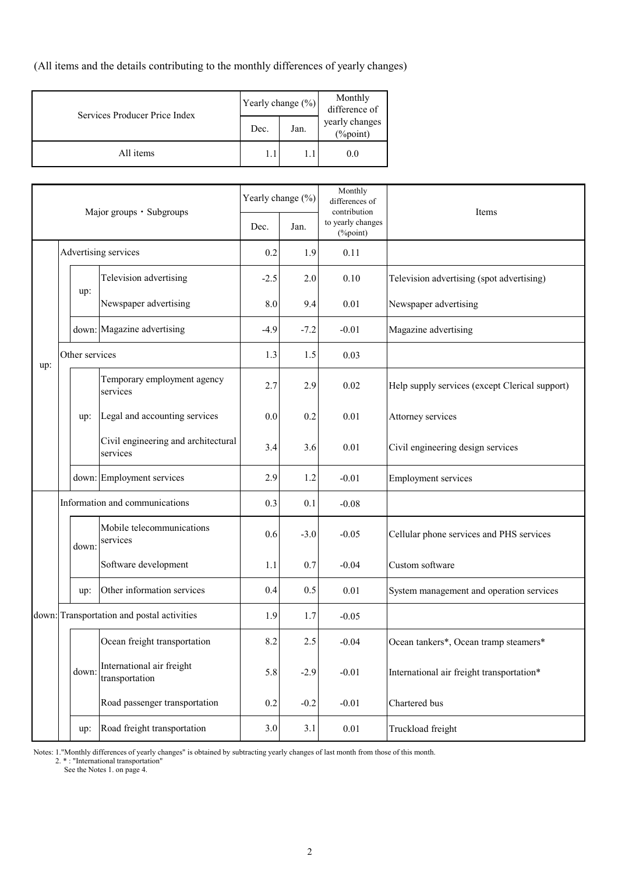(All items and the details contributing to the monthly differences of yearly changes)

| Services Producer Price Index | Yearly change (%)                          |  | Monthly<br>difference of |  |
|-------------------------------|--------------------------------------------|--|--------------------------|--|
|                               | yearly changes<br>Jan.<br>Dec.<br>(%point) |  |                          |  |
| All items                     |                                            |  | 0.0                      |  |

| Major groups · Subgroups |                                | Yearly change (%) |                                                 | Monthly<br>differences of<br>contribution | Items   |                               |                                                |  |  |
|--------------------------|--------------------------------|-------------------|-------------------------------------------------|-------------------------------------------|---------|-------------------------------|------------------------------------------------|--|--|
|                          |                                |                   |                                                 | Dec.                                      | Jan.    | to yearly changes<br>(%point) |                                                |  |  |
|                          | Advertising services           |                   | 0.2                                             | 1.9                                       | 0.11    |                               |                                                |  |  |
|                          |                                |                   | Television advertising                          | $-2.5$                                    | 2.0     | 0.10                          | Television advertising (spot advertising)      |  |  |
|                          |                                | up:               | Newspaper advertising                           | 8.0                                       | 9.4     | 0.01                          | Newspaper advertising                          |  |  |
|                          |                                |                   | down: Magazine advertising                      | $-4.9$                                    | $-7.2$  | $-0.01$                       | Magazine advertising                           |  |  |
| up:                      |                                | Other services    |                                                 | 1.3                                       | 1.5     | 0.03                          |                                                |  |  |
|                          |                                |                   | Temporary employment agency<br>services         | 2.7                                       | 2.9     | 0.02                          | Help supply services (except Clerical support) |  |  |
|                          |                                | up:               | Legal and accounting services                   |                                           | 0.2     | 0.01                          | Attorney services                              |  |  |
|                          |                                |                   | Civil engineering and architectural<br>services | 3.4                                       | 3.6     | 0.01                          | Civil engineering design services              |  |  |
|                          |                                |                   | down: Employment services                       | 2.9                                       | 1.2     | $-0.01$                       | <b>Employment services</b>                     |  |  |
|                          | Information and communications |                   | 0.3                                             | 0.1                                       | $-0.08$ |                               |                                                |  |  |
|                          |                                | down:             | Mobile telecommunications<br>services           | 0.6                                       | $-3.0$  | $-0.05$                       | Cellular phone services and PHS services       |  |  |
|                          |                                |                   | Software development                            | 1.1                                       | 0.7     | $-0.04$                       | Custom software                                |  |  |
|                          |                                | up:               | Other information services                      | 0.4                                       | 0.5     | 0.01                          | System management and operation services       |  |  |
|                          |                                |                   | down: Transportation and postal activities      | 1.9                                       | 1.7     | $-0.05$                       |                                                |  |  |
|                          |                                |                   | Ocean freight transportation                    | 8.2                                       | 2.5     | $-0.04$                       | Ocean tankers*, Ocean tramp steamers*          |  |  |
|                          |                                | down:             | International air freight<br>transportation     | 5.8                                       | $-2.9$  | $-0.01$                       | International air freight transportation*      |  |  |
|                          |                                |                   | Road passenger transportation                   | 0.2                                       | $-0.2$  | $-0.01$                       | Chartered bus                                  |  |  |
|                          |                                | up:               | Road freight transportation                     | 3.0                                       | 3.1     | 0.01                          | Truckload freight                              |  |  |

Notes: 1."Monthly differences of yearly changes" is obtained by subtracting yearly changes of last month from those of this month.

2. \* : "International transportation"

See the Notes 1. on page 4.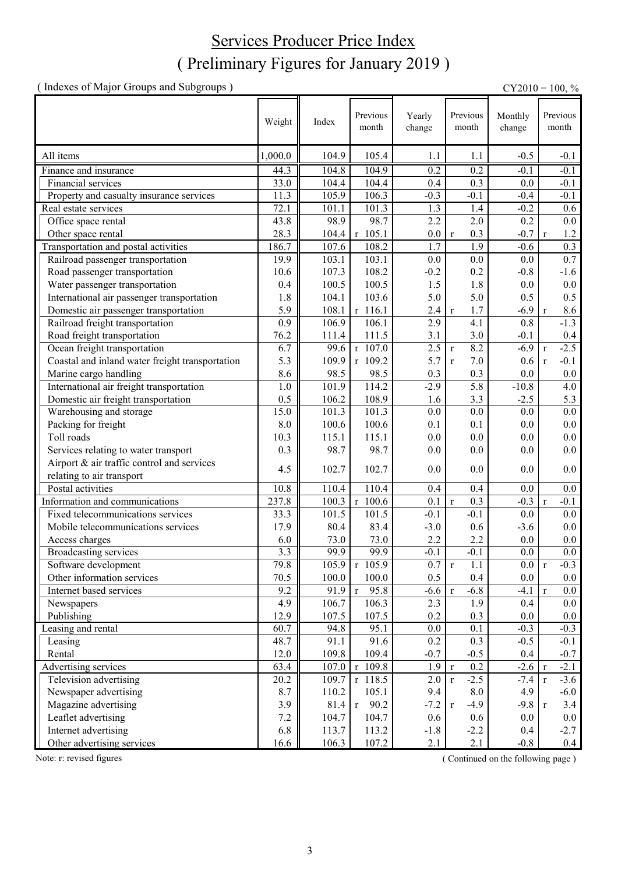## ( Preliminary Figures for January 2019 ) Services Producer Price Index

( Indexes of Major Groups and Subgroups ) CY2010 = 100, %

Weight Index Previous Yearly change Monthly change All items 1,000.0 | 104.9 | 105.4 1.1 | 1.1 | -0.5 | -0.1 Finance and insurance 44.3 104.8 104.9 0.2 0.2 -0.1 -0.1 Financial services 1 33.0 || 104.4 || 104.4 || 0.4 || 0.3 || 0.0 || 0.1 || 0.1 || 0.1 || 0.1 || 0.1 || 0.1 || 0.1 || 0.1 || 0.1 || 0.1 || 0.1 || 0.1 || 0.1 || 0.1 || 0.1 || 0.1 || 0.1 || 0.1 || 0.1 || 0.1 || 0.1 || 0.1 || Property and casualty insurance services  $11.3 \parallel 105.9 \parallel 106.3 \parallel -0.3 \parallel -0.1 \parallel -0.4 \parallel -0.1$ Real estate services 1.3 1.4 -0.2 0.6 Office space rental  $\begin{array}{|c|c|c|c|c|c|c|c|} \hline 43.8 & 98.9 & 98.7 & 2.2 & 2.0 & 0.2 & 0.0 \\ \hline 28.3 & 104.4 & r & 105.1 & 0.0 & r & 0.3 & -0.7 & r & 1.2 \\ \hline \end{array}$ Other space rental 28.3 104.4 r 105.1 0.0 r 0.3 -0.7 r 1.2<br>
Transportation and postal activities 186.7 107.6 108.2 1.7 1.9 -0.6 0.3 Transportation and postal activities 186.7 107.6 108.2 1.7 1.9 -0.6 0.3 Railroad passenger transportation  $19.9$   $103.1$   $103.1$   $0.0$  0.0 0.0 0.7 0.0 0.7 Road passenger transportation  $\begin{array}{|c|c|c|c|c|c|c|c|c|} \hline 10.6 & 107.3 & 108.2 & -0.2 & 0.2 & -0.8 & -1.6 \\ \hline 0.4 & 100.5 & 100.5 & 1.5 & 1.8 & 0.0 & 0.0 \\ \hline \end{array}$ Water passenger transportation  $0.4 \parallel 100.5 \parallel 100.5 \parallel 1.5 \parallel 1.8 \parallel 0.0 \parallel 0.0$ International air passenger transportation  $1.8 \parallel 104.1 \parallel 103.6 \parallel 5.0 \parallel 5.0 \parallel 0.5 \parallel 0.5$ **Domestic air passenger transportation** 5.9 108.1 r 116.1 2.4 r 1.7 -6.9 r 8.6 Railroad freight transportation 0.9 106.9 106.1 2.9 4.1 0.8 -1.3 Railroad freight transportation 0.9 106.9 106.1 2.9 4.1 0.8 -1.3 Road freight transportation <br>
Road freight transportation <br>  $\begin{array}{|c|c|c|c|c|c|c|c|c|c|c|} \hline 76.2 & 111.4 & 111.5 & 3.1 & 3.0 & -0.1 & 0.4 \\ \hline 00 & 3.1 & 3.0 & 2.5 & 8.2 & -6.9 & 7 & -2.5 \\ \hline \end{array}$ Ocean freight transportation  $\begin{array}{ccc} 6.7 & 99.6 & r & 107.0 & 2.5 & r & 8.2 & -6.9 & r \end{array}$ Coastal and inland water freight transportation  $\begin{vmatrix} 5.3 & 109.9 & r & 109.2 & 5.7 & r & 7.0 & 0.6 & r & -0.1 \end{vmatrix}$ Marine cargo handling<br>
International air freight transportation<br>
1.0 101.9 114.2 -2.9 5.8 -10.8 4.0 International air freight transportation  $1.0 \parallel 101.9 \parallel 114.2 \parallel 2.9 \parallel 5.8 \parallel 10.8 \parallel 4.0$ Domestic air freight transportation 10.5 || 0.5 || 106.2 | 108.9 | 1.6 | 3.3 | -2.5 | 5.3 Warehousing and storage  $15.0 \parallel 101.3 \parallel 101.3 \parallel 0.0 \parallel 0.0 \parallel 0.0 \parallel 0.0$ Packing for freight  $8.0 \parallel 100.6 \parallel 100.6 \parallel 0.1 \parallel 0.1 \parallel 0.0 \parallel 0.0$ Toll roads 20.0  $\begin{array}{|c|c|c|c|c|c|c|c|c|} \hline \end{array}$  10.3  $\begin{array}{|c|c|c|c|c|c|c|c|} \hline \end{array}$  115.1  $\begin{array}{|c|c|c|c|c|c|} \hline \end{array}$  10.0  $\begin{array}{|c|c|c|c|c|c|} \hline \end{array}$  0.0  $\begin{array}{|c|c|c|c|c|} \hline \end{array}$  0.0  $\begin{array}{|c|c|c|c|c|} \hline \end$ Services relating to water transport  $\begin{array}{|c|c|c|c|c|c|c|c|c|c|c|c|} \hline 0.3 & 98.7 & 98.7 & 0.0 & 0.0 & 0.0 & 0.0 \ \hline \end{array}$ Airport & air traffic control and services relating to air transport  $4.5 \begin{bmatrix} 4.5 \end{bmatrix}$  102.7  $\begin{bmatrix} 102.7 \end{bmatrix}$  0.0 0.0 0.0 0.0 0.0 0.0 Postal activities 10.8 10.8 10.4 10.4 0.4 0.4 0.0 0.0 0.0 Information and communications 237.8 100.3 r 100.6 0.1 r 0.3 -0.3 r -0.1 Fixed telecommunications services 33.3 101.5 101.5 -0.1 -0.1 0.0 0.0 Mobile telecommunications services  $17.9 \parallel 80.4 \parallel 83.4 \parallel -3.0 \parallel 0.6 \parallel -3.6 \parallel 0.0$ Access charges 6.0 73.0 73.0 2.2 2.2 0.0 0.0<br>Broadcasting services 3.3 99.9 99.9 -0.1 -0.1 0.0 0.0 Broadcasting services Software development 79.8 105.9 r 105.9 0.7 r 1.1 0.0 r -0.3 Other information services 70.5 100.0 100.0 0.5 0.4 0.0 0.0 Internet based services 9.2 91.9 r 95.8  $-6.6$  r  $-6.8$   $-4.1$  r 0.0 Newspapers 4.9 106.7 106.3 2.3 1.9 0.4 0.0 Publishing 12.9 107.5 107.5 0.2 0.3 0.0 0.0 Leasing and rental 60.7 94.8 95.1 0.0 0.1 -0.3 -0.3 Leasing 2013 12:3 12:48.7 0.1 12:48.7 0.1 12:48.7 0.1 12:48.7 0.1 12:48.7 0.1 12:48.7 0.1 12:49.1 12:49.1 12:4 Rental 12.0 109.8 109.4 -0.7 -0.5 0.4 -0.7 Advertising services 63.4 107.0 r 109.8 1.9 r 0.2 -2.6 r -2.1 Television advertising 20.2  $109.7 \rvert r \tvert 118.5$  2.0  $\rvert r \tvert -2.5$  -7.4  $\rvert r \tvert -3.6$ Newspaper advertising  $\begin{array}{|c|c|c|c|c|c|c|c|} \hline 8.7 & 110.2 & 105.1 & 9.4 & 8.0 & 4.9 & -6.0 \\ \hline 3.9 & 81.4 & 90.2 & -7.2 & r & -4.9 & -9.8 & r & 3.4 \\ \hline \end{array}$ Magazine advertising  $3.9 \parallel 3.9 \parallel 81.4 \parallel r$   $90.2 \parallel -7.2 \parallel r$   $-4.9 \parallel 9.8 \parallel r$   $-3.4 \parallel r$ Leaflet advertising  $\begin{array}{|c|c|c|c|c|c|c|c|c|} \hline \end{array}$  7.2  $\begin{array}{|c|c|c|c|c|c|c|c|c|} \hline \end{array}$  7.2  $\begin{array}{|c|c|c|c|c|c|c|c|c|} \hline \end{array}$  0.6  $\begin{array}{|c|c|c|c|c|c|} \hline \end{array}$  0.0 0.0 0.0 0.0 Internet advertising 6.8 113.7 113.2 -1.8 -2.2 0.4 -2.7 Other advertising services  $16.6 \parallel 106.3 \parallel 107.2 \parallel 2.1 \parallel 2.1 \parallel 0.8 \parallel 0.4$ Previous month Previous month Previous month

Note: r: revised figures (Continued on the following page)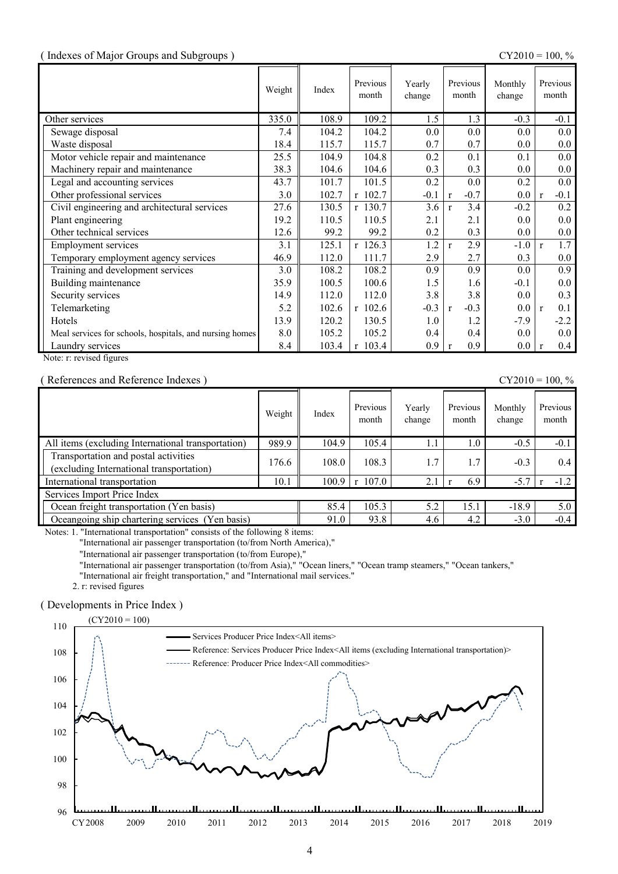#### ( Indexes of Major Groups and Subgroups ) CY2010 = 100, %

|                                                         | Weight | Index | Previous<br>month | Yearly<br>change | Previous<br>month      | Monthly<br>change | Previous<br>month       |
|---------------------------------------------------------|--------|-------|-------------------|------------------|------------------------|-------------------|-------------------------|
| Other services                                          | 335.0  | 108.9 | 109.2             | 1.5              | 1.3                    | $-0.3$            | $-0.1$                  |
| Sewage disposal                                         | 7.4    | 104.2 | 104.2             | 0.0              | 0.0                    | 0.0               | $0.0\,$                 |
| Waste disposal                                          | 18.4   | 115.7 | 115.7             | 0.7              | 0.7                    | 0.0               | 0.0                     |
| Motor vehicle repair and maintenance                    | 25.5   | 104.9 | 104.8             | 0.2              | 0.1                    | 0.1               | $0.0\,$                 |
| Machinery repair and maintenance                        | 38.3   | 104.6 | 104.6             | 0.3              | 0.3                    | 0.0               | 0.0                     |
| Legal and accounting services                           | 43.7   | 101.7 | 101.5             | 0.2              | 0.0                    | 0.2               | $0.0\,$                 |
| Other professional services                             | 3.0    | 102.7 | r 102.7           | $-0.1$           | $-0.7$<br>$\mathbf{r}$ | 0.0               | $-0.1$<br>$\mathbf{r}$  |
| Civil engineering and architectural services            | 27.6   | 130.5 | r 130.7           | 3.6              | 3.4<br>$\mathbf{r}$    | $-0.2$            | 0.2                     |
| Plant engineering                                       | 19.2   | 110.5 | 110.5             | 2.1              | 2.1                    | 0.0               | $0.0\,$                 |
| Other technical services                                | 12.6   | 99.2  | 99.2              | 0.2              | 0.3                    | 0.0               | $0.0\,$                 |
| <b>Employment services</b>                              | 3.1    | 125.1 | $r$ 126.3         | 1.2              | 2.9<br>$\mathbf{r}$    | $-1.0$            | 1.7<br>$\mathbf{r}$     |
| Temporary employment agency services                    | 46.9   | 112.0 | 111.7             | 2.9              | 2.7                    | 0.3               | $0.0\,$                 |
| Training and development services                       | 3.0    | 108.2 | 108.2             | 0.9              | 0.9                    | 0.0               | 0.9                     |
| Building maintenance                                    | 35.9   | 100.5 | 100.6             | 1.5              | 1.6                    | $-0.1$            | 0.0                     |
| Security services                                       | 14.9   | 112.0 | 112.0             | 3.8              | 3.8                    | 0.0               | 0.3                     |
| Telemarketing                                           | 5.2    | 102.6 | $r$ 102.6         | $-0.3$           | $-0.3$<br>$\mathbf{r}$ | 0.0               | 0.1<br>$\mathbf{r}$     |
| Hotels                                                  | 13.9   | 120.2 | 130.5             | 1.0              | 1.2                    | $-7.9$            | $-2.2$                  |
| Meal services for schools, hospitals, and nursing homes | 8.0    | 105.2 | 105.2             | 0.4              | 0.4                    | 0.0               | $0.0\,$                 |
| Laundry services                                        | 8.4    | 103.4 | r 103.4           | 0.9              | 0.9<br>$\mathbf{r}$    | $0.0\,$           | $0.4\,$<br>$\mathbf{r}$ |

Note: r: revised figures

( References and Reference Indexes ) CY2010 = 100, %

|                                                                                  | Weight | Index | Previous<br>month        | Yearly<br>change | Previous<br>month | Monthly<br>change | Previous<br>month |
|----------------------------------------------------------------------------------|--------|-------|--------------------------|------------------|-------------------|-------------------|-------------------|
| All items (excluding International transportation)                               | 989.9  | 104.9 | 105.4                    | 1.1              | 1.0               | $-0.5$            | $-0.1$            |
| Transportation and postal activities<br>(excluding International transportation) | 176.6  | 108.0 | 108.3                    | 1.7              | 1.7               | $-0.3$            | 0.4               |
| International transportation                                                     | 10.1   | 100.9 | 107.0<br>$r_{\parallel}$ | 2.1              | 6.9               | $-5.7$            | $-1.2$            |
| Services Import Price Index                                                      |        |       |                          |                  |                   |                   |                   |
| Ocean freight transportation (Yen basis)                                         | 85.4   | 105.3 | 5.2                      | 15.1             | $-18.9$           | 5.0               |                   |
| Oceangoing ship chartering services (Yen basis)                                  |        | 91.0  | 93.8                     | 4.6              | 4.2               | $-3.0$            | $-0.4$            |

Notes: 1. "International transportation" consists of the following 8 items:

"International air passenger transportation (to/from North America),"

"International air passenger transportation (to/from Europe),"

"International air passenger transportation (to/from Asia)," "Ocean liners," "Ocean tramp steamers," "Ocean tankers,"

"International air freight transportation," and "International mail services."

2. r: revised figures

#### ( Developments in Price Index )